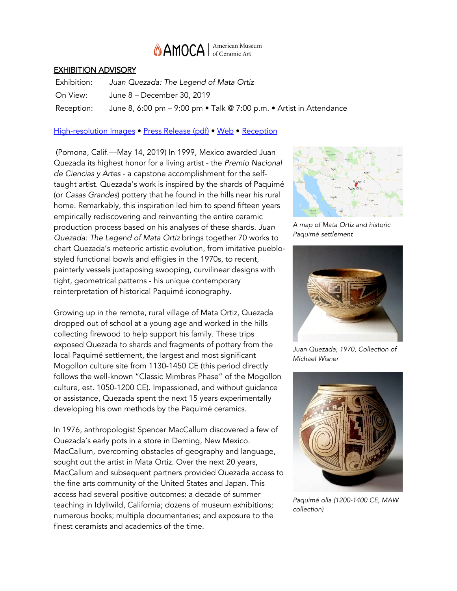

#### EXHIBITION ADVISORY

Exhibition: *Juan Quezada: The Legend of Mata Ortiz* On View: June 8 – December 30, 2019 Reception: June 8, 6:00 pm – 9:00 pm • Talk @ 7:00 p.m. • Artist in Attendance

#### [High-resolution Images](https://photos.app.goo.gl/nH9mRfhmWBq8o8tQ8) • [Press Release \(pdf\)](http://www.amoca.org/wp-content/uploads/2019/05/JuanQuezada.pdf) • [Web](http://www.amoca.org/juanquezada/) • [Reception](https://www.facebook.com/events/246358536228338/)

(Pomona, Calif.—May 14, 2019) In 1999, Mexico awarded Juan Quezada its highest honor for a living artist - the *Premio Nacional de Ciencias y Artes* - a capstone accomplishment for the selftaught artist. Quezada's work is inspired by the shards of Paquimé (or *Casas Grandes*) pottery that he found in the hills near his rural home. Remarkably, this inspiration led him to spend fifteen years empirically rediscovering and reinventing the entire ceramic production process based on his analyses of these shards. *Juan Quezada: The Legend of Mata Ortiz* brings together 70 works to chart Quezada's meteoric artistic evolution, from imitative pueblostyled functional bowls and effigies in the 1970s, to recent, painterly vessels juxtaposing swooping, curvilinear designs with tight, geometrical patterns - his unique contemporary reinterpretation of historical Paquimé iconography.

Growing up in the remote, rural village of Mata Ortiz, Quezada dropped out of school at a young age and worked in the hills collecting firewood to help support his family. These trips exposed Quezada to shards and fragments of pottery from the local Paquimé settlement, the largest and most significant Mogollon culture site from 1130-1450 CE (this period directly follows the well-known "Classic Mimbres Phase" of the Mogollon culture, est. 1050-1200 CE). Impassioned, and without guidance or assistance, Quezada spent the next 15 years experimentally developing his own methods by the Paquimé ceramics.

In 1976, anthropologist Spencer MacCallum discovered a few of Quezada's early pots in a store in Deming, New Mexico. MacCallum, overcoming obstacles of geography and language, sought out the artist in Mata Ortiz. Over the next 20 years, MacCallum and subsequent partners provided Quezada access to the fine arts community of the United States and Japan. This access had several positive outcomes: a decade of summer teaching in Idyllwild, California; dozens of museum exhibitions; numerous books; multiple documentaries; and exposure to the finest ceramists and academics of the time.



*A map of Mata Ortiz and historic Paquimé settlement*



*Juan Quezada, 1970, Collection of Michael Wisner*



*Paquimé olla (1200-1400 CE, MAW collection)*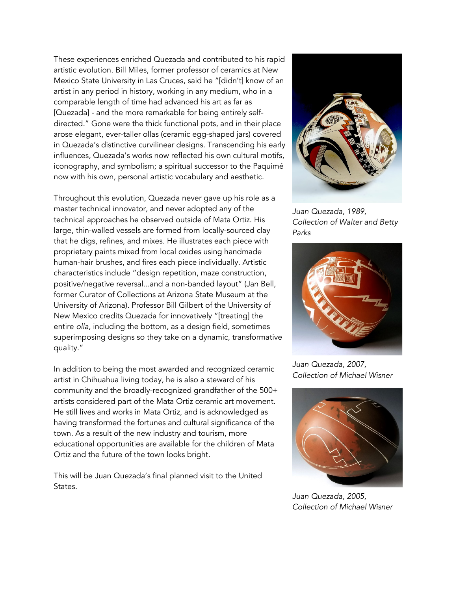These experiences enriched Quezada and contributed to his rapid artistic evolution. Bill Miles, former professor of ceramics at New Mexico State University in Las Cruces, said he "[didn't] know of an artist in any period in history, working in any medium, who in a comparable length of time had advanced his art as far as [Quezada] - and the more remarkable for being entirely selfdirected." Gone were the thick functional pots, and in their place arose elegant, ever-taller ollas (ceramic egg-shaped jars) covered in Quezada's distinctive curvilinear designs. Transcending his early influences, Quezada's works now reflected his own cultural motifs, iconography, and symbolism; a spiritual successor to the Paquimé now with his own, personal artistic vocabulary and aesthetic.

Throughout this evolution, Quezada never gave up his role as a master technical innovator, and never adopted any of the technical approaches he observed outside of Mata Ortiz. His large, thin-walled vessels are formed from locally-sourced clay that he digs, refines, and mixes. He illustrates each piece with proprietary paints mixed from local oxides using handmade human-hair brushes, and fires each piece individually. Artistic characteristics include "design repetition, maze construction, positive/negative reversal...and a non-banded layout" (Jan Bell, former Curator of Collections at Arizona State Museum at the University of Arizona). Professor Bill Gilbert of the University of New Mexico credits Quezada for innovatively "[treating] the entire *olla*, including the bottom, as a design field, sometimes superimposing designs so they take on a dynamic, transformative quality."

In addition to being the most awarded and recognized ceramic artist in Chihuahua living today, he is also a steward of his community and the broadly-recognized grandfather of the 500+ artists considered part of the Mata Ortiz ceramic art movement. He still lives and works in Mata Ortiz, and is acknowledged as having transformed the fortunes and cultural significance of the town. As a result of the new industry and tourism, more educational opportunities are available for the children of Mata Ortiz and the future of the town looks bright.

This will be Juan Quezada's final planned visit to the United States.



*Juan Quezada, 1989, Collection of Walter and Betty Parks*



*Juan Quezada, 2007, Collection of Michael Wisner*



*Juan Quezada, 2005, Collection of Michael Wisner*